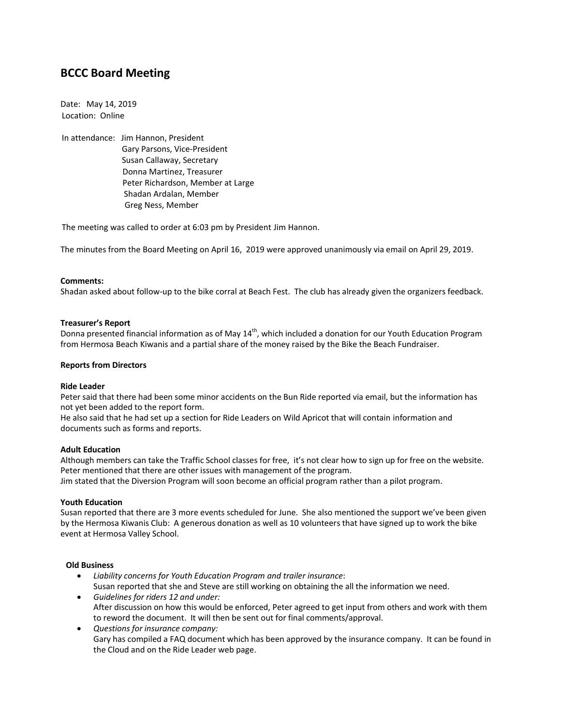# **BCCC Board Meeting**

Date: May 14, 2019 Location: Online

In attendance: Jim Hannon, President Gary Parsons, Vice-President Susan Callaway, Secretary Donna Martinez, Treasurer Peter Richardson, Member at Large Shadan Ardalan, Member Greg Ness, Member

The meeting was called to order at 6:03 pm by President Jim Hannon.

The minutes from the Board Meeting on April 16, 2019 were approved unanimously via email on April 29, 2019.

# **Comments:**

Shadan asked about follow-up to the bike corral at Beach Fest. The club has already given the organizers feedback.

# **Treasurer's Report**

Donna presented financial information as of May 14<sup>th</sup>, which included a donation for our Youth Education Program from Hermosa Beach Kiwanis and a partial share of the money raised by the Bike the Beach Fundraiser.

## **Reports from Directors**

#### **Ride Leader**

Peter said that there had been some minor accidents on the Bun Ride reported via email, but the information has not yet been added to the report form.

He also said that he had set up a section for Ride Leaders on Wild Apricot that will contain information and documents such as forms and reports.

#### **Adult Education**

Although members can take the Traffic School classes for free, it's not clear how to sign up for free on the website. Peter mentioned that there are other issues with management of the program. Jim stated that the Diversion Program will soon become an official program rather than a pilot program.

#### **Youth Education**

Susan reported that there are 3 more events scheduled for June. She also mentioned the support we've been given by the Hermosa Kiwanis Club: A generous donation as well as 10 volunteers that have signed up to work the bike event at Hermosa Valley School.

# **Old Business**

- *Liability concerns for Youth Education Program and trailer insurance*: Susan reported that she and Steve are still working on obtaining the all the information we need.
- *Guidelines for riders 12 and under:* After discussion on how this would be enforced, Peter agreed to get input from others and work with them to reword the document. It will then be sent out for final comments/approval.
- *Questions for insurance company:* Gary has compiled a FAQ document which has been approved by the insurance company. It can be found in the Cloud and on the Ride Leader web page.